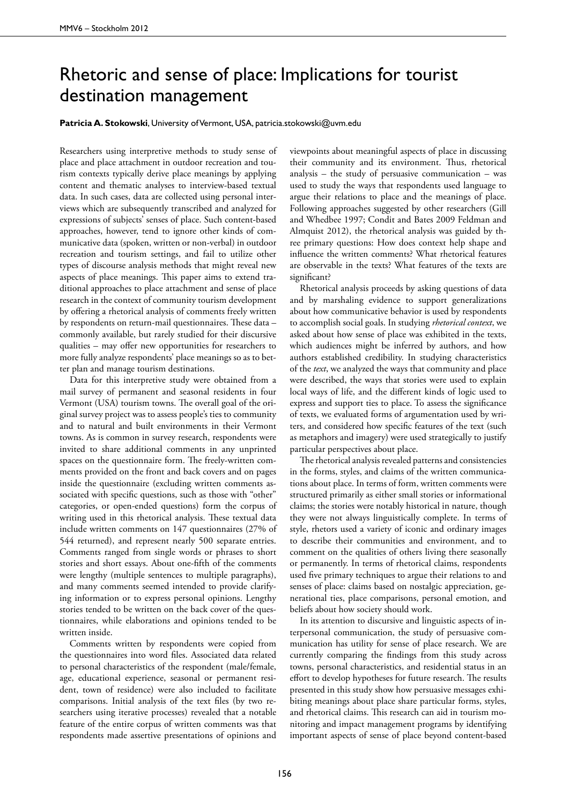## Rhetoric and sense of place: Implications for tourist destination management

## **Patricia A. Stokowski**, University of Vermont, USA, patricia.stokowski@uvm.edu

Researchers using interpretive methods to study sense of place and place attachment in outdoor recreation and tourism contexts typically derive place meanings by applying content and thematic analyses to interview-based textual data. In such cases, data are collected using personal interviews which are subsequently transcribed and analyzed for expressions of subjects' senses of place. Such content-based approaches, however, tend to ignore other kinds of communicative data (spoken, written or non-verbal) in outdoor recreation and tourism settings, and fail to utilize other types of discourse analysis methods that might reveal new aspects of place meanings. This paper aims to extend traditional approaches to place attachment and sense of place research in the context of community tourism development by offering a rhetorical analysis of comments freely written by respondents on return-mail questionnaires. These data – commonly available, but rarely studied for their discursive qualities – may offer new opportunities for researchers to more fully analyze respondents' place meanings so as to better plan and manage tourism destinations.

Data for this interpretive study were obtained from a mail survey of permanent and seasonal residents in four Vermont (USA) tourism towns. The overall goal of the original survey project was to assess people's ties to community and to natural and built environments in their Vermont towns. As is common in survey research, respondents were invited to share additional comments in any unprinted spaces on the questionnaire form. The freely-written comments provided on the front and back covers and on pages inside the questionnaire (excluding written comments associated with specific questions, such as those with "other" categories, or open-ended questions) form the corpus of writing used in this rhetorical analysis. These textual data include written comments on 147 questionnaires (27% of 544 returned), and represent nearly 500 separate entries. Comments ranged from single words or phrases to short stories and short essays. About one-fifth of the comments were lengthy (multiple sentences to multiple paragraphs), and many comments seemed intended to provide clarifying information or to express personal opinions. Lengthy stories tended to be written on the back cover of the questionnaires, while elaborations and opinions tended to be written inside.

Comments written by respondents were copied from the questionnaires into word files. Associated data related to personal characteristics of the respondent (male/female, age, educational experience, seasonal or permanent resident, town of residence) were also included to facilitate comparisons. Initial analysis of the text files (by two researchers using iterative processes) revealed that a notable feature of the entire corpus of written comments was that respondents made assertive presentations of opinions and

viewpoints about meaningful aspects of place in discussing their community and its environment. Thus, rhetorical analysis – the study of persuasive communication – was used to study the ways that respondents used language to argue their relations to place and the meanings of place. Following approaches suggested by other researchers (Gill and Whedbee 1997; Condit and Bates 2009 Feldman and Almquist 2012), the rhetorical analysis was guided by three primary questions: How does context help shape and influence the written comments? What rhetorical features are observable in the texts? What features of the texts are significant?

Rhetorical analysis proceeds by asking questions of data and by marshaling evidence to support generalizations about how communicative behavior is used by respondents to accomplish social goals. In studying *rhetorical context*, we asked about how sense of place was exhibited in the texts, which audiences might be inferred by authors, and how authors established credibility. In studying characteristics of the *text*, we analyzed the ways that community and place were described, the ways that stories were used to explain local ways of life, and the different kinds of logic used to express and support ties to place. To assess the significance of texts, we evaluated forms of argumentation used by writers, and considered how specific features of the text (such as metaphors and imagery) were used strategically to justify particular perspectives about place.

The rhetorical analysis revealed patterns and consistencies in the forms, styles, and claims of the written communications about place. In terms of form, written comments were structured primarily as either small stories or informational claims; the stories were notably historical in nature, though they were not always linguistically complete. In terms of style, rhetors used a variety of iconic and ordinary images to describe their communities and environment, and to comment on the qualities of others living there seasonally or permanently. In terms of rhetorical claims, respondents used five primary techniques to argue their relations to and senses of place: claims based on nostalgic appreciation, generational ties, place comparisons, personal emotion, and beliefs about how society should work.

In its attention to discursive and linguistic aspects of interpersonal communication, the study of persuasive communication has utility for sense of place research. We are currently comparing the findings from this study across towns, personal characteristics, and residential status in an effort to develop hypotheses for future research. The results presented in this study show how persuasive messages exhibiting meanings about place share particular forms, styles, and rhetorical claims. This research can aid in tourism monitoring and impact management programs by identifying important aspects of sense of place beyond content-based